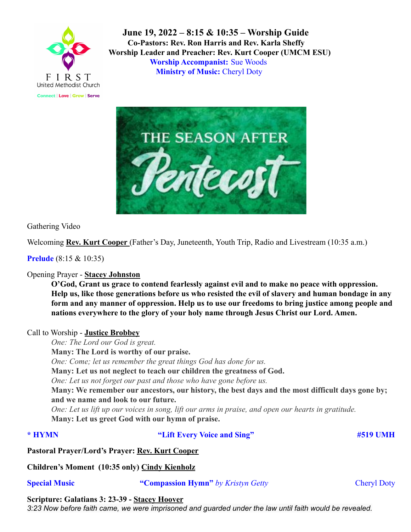

**June 19, 2022 – 8:15 & 10:35 – Worship Guide Co-Pastors: Rev. Ron Harris and Rev. Karla Sheffy Worship Leader and Preacher: Rev. Kurt Cooper (UMCM ESU) Worship Accompanist:** Sue Woods **Ministry of Music:** Cheryl Doty



Gathering Video

Welcoming **Rev. Kurt Cooper** (Father's Day, Juneteenth, Youth Trip, Radio and Livestream (10:35 a.m.)

**Prelude** (8:15 & 10:35)

# Opening Prayer - **Stacey Johnston**

**O'God, Grant us grace to contend fearlessly against evil and to make no peace with oppression. Help us, like those generations before us who resisted the evil of slavery and human bondage in any form and any manner of oppression. Help us to use our freedoms to bring justice among people and nations everywhere to the glory of your holy name through Jesus Christ our Lord. Amen.**

# Call to Worship - **Justice Brobbey**

*One: The Lord our God is great.* **Many: The Lord is worthy of our praise.** *One: Come; let us remember the great things God has done for us.* **Many: Let us not neglect to teach our children the greatness of God.** *One: Let us not forget our past and those who have gone before us.* **Many: We remember our ancestors, our history, the best days and the most difficult days gone by; and we name and look to our future.** *One: Let us lift up our voices in song, lift our arms in praise, and open our hearts in gratitude.* **Many: Let us greet God with our hymn of praise.**

**\* HYMN "Lift Every Voice and Sing" #519 UMH**

**Pastoral Prayer/Lord's Prayer: Rev. Kurt Cooper**

**Children's Moment (10:35 only) Cindy Kienholz**

**Special Music "Compassion Hymn"** *by Kristyn Getty* Cheryl Doty

**Scripture: Galatians 3: 23-39 - Stacey Hoover**

3:23 Now before faith came, we were imprisoned and guarded under the law until faith would be revealed.